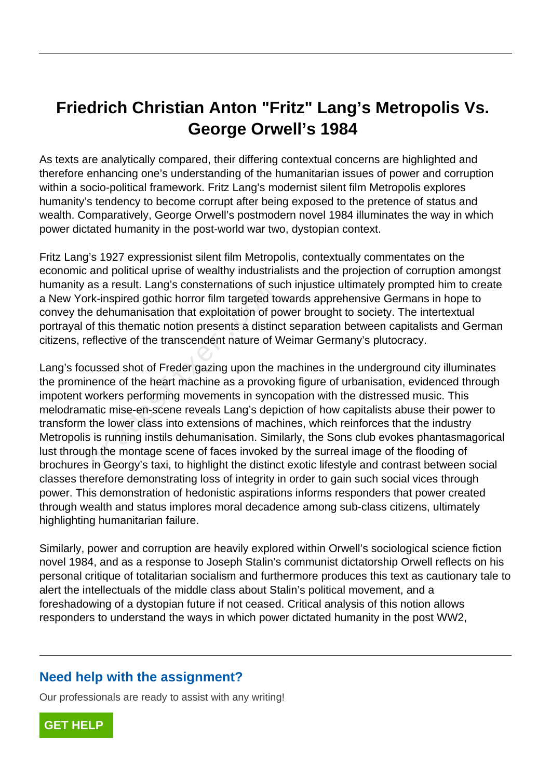## **Friedrich Christian Anton "Fritz" Lang's Metropolis Vs. George Orwell's 1984**

As texts are analytically compared, their differing contextual concerns are highlighted and therefore enhancing one's understanding of the humanitarian issues of power and corruption within a socio-political framework. Fritz Lang's modernist silent film Metropolis explores humanity's tendency to become corrupt after being exposed to the pretence of status and wealth. Comparatively, George Orwell's postmodern novel 1984 illuminates the way in which power dictated humanity in the post-world war two, dystopian context.

Fritz Lang's 1927 expressionist silent film Metropolis, contextually commentates on the economic and political uprise of wealthy industrialists and the projection of corruption amongst humanity as a result. Lang's consternations of such injustice ultimately prompted him to create a New York-inspired gothic horror film targeted towards apprehensive Germans in hope to convey the dehumanisation that exploitation of power brought to society. The intertextual portrayal of this thematic notion presents a distinct separation between capitalists and German citizens, reflective of the transcendent nature of Weimar Germany's plutocracy.

Lang's focussed shot of Freder gazing upon the machines in the underground city illuminates the prominence of the heart machine as a provoking figure of urbanisation, evidenced through impotent workers performing movements in syncopation with the distressed music. This melodramatic mise-en-scene reveals Lang's depiction of how capitalists abuse their power to transform the lower class into extensions of machines, which reinforces that the industry Metropolis is running instils dehumanisation. Similarly, the Sons club evokes phantasmagorical lust through the montage scene of faces invoked by the surreal image of the flooding of brochures in Georgy's taxi, to highlight the distinct exotic lifestyle and contrast between social classes therefore demonstrating loss of integrity in order to gain such social vices through power. This demonstration of hedonistic aspirations informs responders that power created through wealth and status implores moral decadence among sub-class citizens, ultimately highlighting humanitarian failure. is a result. Lang's consternations of substrations<br>
is a result. Lang's consternations of sub-<br>
is dehumanisation that exploitation of portion<br>
of this thematic notion presents a disting<br>
efflective of the transcendent nat

Similarly, power and corruption are heavily explored within Orwell's sociological science fiction novel 1984, and as a response to Joseph Stalin's communist dictatorship Orwell reflects on his personal critique of totalitarian socialism and furthermore produces this text as cautionary tale to alert the intellectuals of the middle class about Stalin's political movement, and a foreshadowing of a dystopian future if not ceased. Critical analysis of this notion allows responders to understand the ways in which power dictated humanity in the post WW2,

## **Need help with the assignment?**

Our professionals are ready to assist with any writing!

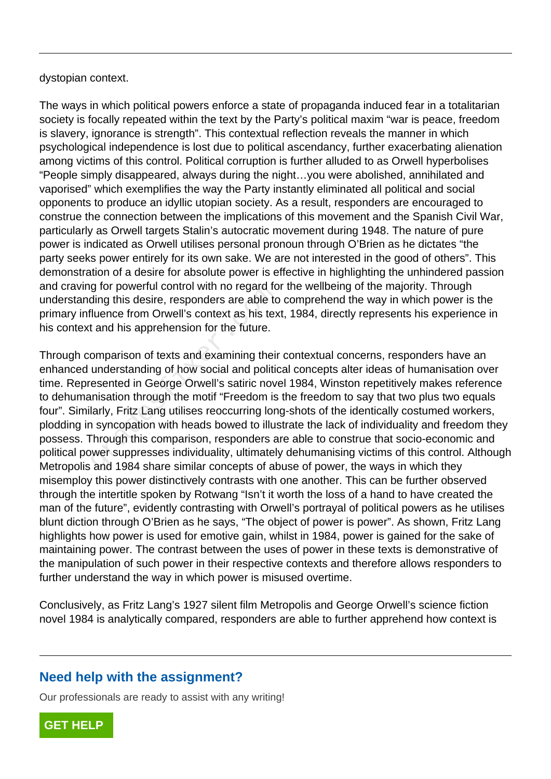dystopian context.

The ways in which political powers enforce a state of propaganda induced fear in a totalitarian society is focally repeated within the text by the Party's political maxim "war is peace, freedom is slavery, ignorance is strength". This contextual reflection reveals the manner in which psychological independence is lost due to political ascendancy, further exacerbating alienation among victims of this control. Political corruption is further alluded to as Orwell hyperbolises "People simply disappeared, always during the night…you were abolished, annihilated and vaporised" which exemplifies the way the Party instantly eliminated all political and social opponents to produce an idyllic utopian society. As a result, responders are encouraged to construe the connection between the implications of this movement and the Spanish Civil War, particularly as Orwell targets Stalin's autocratic movement during 1948. The nature of pure power is indicated as Orwell utilises personal pronoun through O'Brien as he dictates "the party seeks power entirely for its own sake. We are not interested in the good of others". This demonstration of a desire for absolute power is effective in highlighting the unhindered passion and craving for powerful control with no regard for the wellbeing of the majority. Through understanding this desire, responders are able to comprehend the way in which power is the primary influence from Orwell's context as his text, 1984, directly represents his experience in his context and his apprehension for the future.

Through comparison of texts and examining their contextual concerns, responders have an enhanced understanding of how social and political concepts alter ideas of humanisation over time. Represented in George Orwell's satiric novel 1984, Winston repetitively makes reference to dehumanisation through the motif "Freedom is the freedom to say that two plus two equals four". Similarly, Fritz Lang utilises reoccurring long-shots of the identically costumed workers, plodding in syncopation with heads bowed to illustrate the lack of individuality and freedom they possess. Through this comparison, responders are able to construe that socio-economic and political power suppresses individuality, ultimately dehumanising victims of this control. Although Metropolis and 1984 share similar concepts of abuse of power, the ways in which they misemploy this power distinctively contrasts with one another. This can be further observed through the intertitle spoken by Rotwang "Isn't it worth the loss of a hand to have created the man of the future", evidently contrasting with Orwell's portrayal of political powers as he utilises blunt diction through O'Brien as he says, "The object of power is power". As shown, Fritz Lang highlights how power is used for emotive gain, whilst in 1984, power is gained for the sake of maintaining power. The contrast between the uses of power in these texts is demonstrative of the manipulation of such power in their respective contexts and therefore allows responders to further understand the way in which power is misused overtime. grad for powerial control with no regard to<br>ding this desire, responders are able to<br>luence from Orwell's context as his tex<br>t and his apprehension for the future.<br>omparison of texts and examining their<br>understanding of ho

Conclusively, as Fritz Lang's 1927 silent film Metropolis and George Orwell's science fiction novel 1984 is analytically compared, responders are able to further apprehend how context is

## **Need help with the assignment?**

Our professionals are ready to assist with any writing!